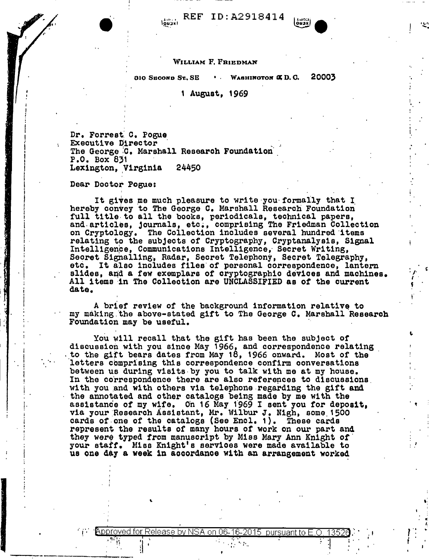$\binom{1}{100000}$  REF ID: A2918414

003X)

 $\tilde{\epsilon}$ .

 $:\cdot$  '.  $\mathbf{i}$  . **'**<br>'<br>!

. I

,,

## WILLIAM F. FRIEDMAN

 $\overline{a}$ io Sroond St., SE $\overline{a}$  1 • Wabhington  $\overline{a}$  D. C, 20003

## 1 August, 1969

Dr. Forrest: C. Pogue<br>Executive Director<br>The George C. Marshall Research Foundation<sup>:</sup><br>P.O. Box 831 Lexington, Virginia 24450

Dear Doctor Pogue:

I i I I I i  $\vert$  . i

. j

'<br>'

f'

--.~-·- \_\_\_\_\_\_\_\_ \_\_\_.,\_\_ -·-

It gives me much pleasure to write you formally that I hereby convey to The George c. Marshall Research Foundation full title to all the books, periodicals, technical papers, and articles, journals, etc., comprising The Friedman Collection on Cryptology. The Collection includes several hundred items relating to the subjects of Cryptography, Cryptanalysis, Signal Intelligence, Communications Intelligence, Secret Writing,<br>Secret Signalling, Radar, Secret Telephony, Secret Telegraphy,<br>etc, It also includes files of personal correspondence, lante It also includes files of personal correspondence, lantern slides, and a few exemplars of cryptographic devices and machines. All items ·in The Colleotion are UNCLASSIFIED as of the current date.

A brief review of the background information relative to my making the above-stated gift to The George C. Marshall Research Foundation may be useful.

You will recall that the gift has been the subject of discussion with you since May 1966, and correspondence relating . to the gift bears dates from May 18, 1966 onward. Most of the letters comprising this correspondence confirm conversations between us during visits-by you to talk with me at my house. In the correspondence there are also references to discussions. with you and with others via telephone regarding the gift and the annotated and other catalogs being made by me with the assistance of my wife. On 16 May 1969 I sent you for deposit, via your Research Assistant, Mr. Wilbur J. Nigh, some 1500 cards of.one of the catalogs (See Encl. 1). These cards represent the results or many hours of work on our part and they were typed from manuscript by Miss Mary Ann Knight of your staff. Miss Knight's services were made available to us one day a week in accordance with an arrangement worked

In the contract of the contract of the contract of the contract of the contract of the contract of the contract of the contract of the contract of the contract of the contract of the contract of the contract of the contra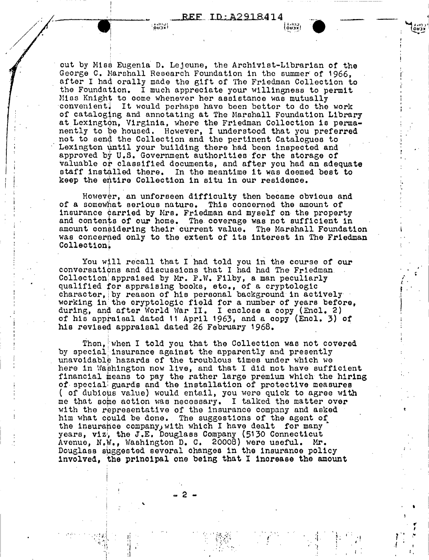ן גבµס≀ן

out by Miss Eugenia D. Lejeune, the Archivist-Librarian of the George C. Marshall Research Foundation in the summer of 1966. after I had orally made the gift of The Friedman Collection to the Foundation. I much appreciate your willingness to permit Miss Knight to come whenever her assistance was mutually convenient! It would perhaps have been better to do the work of cataloging and annotating at The Marshall Foundation Library at Lexington, Virginia, where the Friedman Collection is permanently to be housed. However, I understood that you preferred not to send the Collection and the pertinent Catalogues to Lexington until your building there had been inspected and approved by U.S. Government authorities for the storage of valuable or classified documents, and after you had an adequate staff installed there. In the meantime it was deemed best to keep the entire Collection in situ in our residence.

**OUDY!** 

However, an unforseen difficulty then became obvious and of a somewhat serious nature. This concerned the amount of insurance carried by Mrs. Friedman and myself on the property and contents of our home. The coverage was not sufficient in amount considering their current value. The Marshall Foundation was concerned only to the extent of its interest in The Friedman Collection.

You will recall that I had told you in the course of our conversations and discussions that I had had The Friedman. Collection appraised by Mr. P.W. Filby, a man peculiarly qualified for appraising books, etc., of a cryptologic character, by reason of his personal background in actively working in the cryptologic field for a number of years before, during, and after World War II. I enclose a copy (Encl. 2) of his appraisal dated 11 April 1963, and a copy (Encl. 3) of his revised appraisal dated 26 February 1968.

Then, when I told you that the Collection was not covered by special insurance against the apparently and presently unavoidable hazards of the troublous times under which we here in Washington now live, and that I did not have sufficient financial means to pay the rather large premium which the hiring of special guards and the installation of protective measures ( of dubious value) would entail, you were quick to agree with me that some action was necessary. I talked the matter over with the representative of the insurance company and asked him what could be done. The suggestions of the agent of the insurance company, with which I have dealt for many years, viz, the J.E. Douglass Company (5130 Connecticut<br>Avenue, N.W., Washington D. C. 20008) were useful. Mr. Douglass suggested several changes in the insurance policy involved, the principal one being that I increase the amount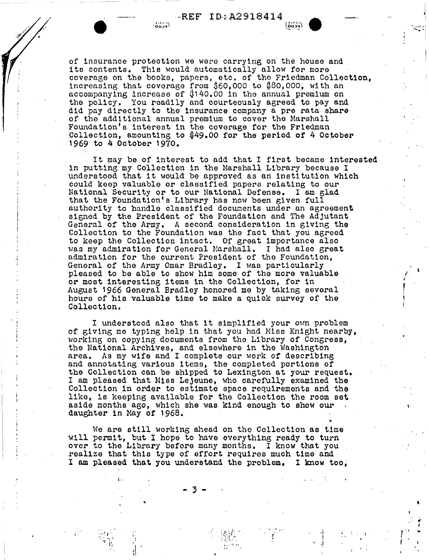of insurance protection we were carrying on· the house and ito contents. Thie would automatically allow for more coverage on the books, papers, etc. of the Friedman Collection, increasing that coverage from  $$60,000$  to  $$80,000$ , with an accompanying increase of  $#140.00$  in the annual premium on the policy. You readily and courteously agreed to pay and did pay directly to the insurance company a pre rata share of the additional annual premium to cover the Marshall Foundation's interest in the coverage for the Friedman Collection, amounting to  $$49.00$  for the period of 4 October 1969 to 4 October 1970.

It may be of interest to add that I first became interested in putting my Collection in the Marshall Library because I understood that it would be approved as an institution which could keep valuable or classified papers relating to our that the Foundation's Library has now been given full authority to handle classified documents under an agreement signed by the President of the Foundation and The Adjutant General of the Army. A second consideration in g1ving the Collection to the Foundation was the fact that you agreed to keep the Collection intact. Of great importance also was my admiration for General Marshall. I had also great admiration for the current President of the Foundation, General of the Army Omar Bradley. I was particularly pleased to be able to show him some of the more valuable or moat interesting items in the Collection, for in August 1966 General Bradley honored me by taking several hours of hie valuable time to make a quick survey of the Collection.

.I I

> I understood also that it simplified your own problem of giving me typing help in that you had Miss Knight nearby, working on copying documents from the Library of Congress, the National Archives, and elsewhere in the Washington area. As my wife and I complete our work of describing and annotating various items, the completed portions of the Collection can be shipped to Lexington at your request. I am pleased that Nies Lejeune, who carefully examined the Collection in order to estimate space requirements and the like, is keeping available for the Collection the room set aside months ago, which she was k1nd enough to show our daughter in May of 1968.

We are still working ahead on the Collection as time will permit, but I hope to have everything ready to turn over to the Library before many months. I know that you realize that this type of effort requires much time and I am pleased that you understand the problem. I know too,

> $\frac{1}{2}$ . 1 \' *;j*

> > i •

 $\left| \cdot \right| \leq 4$ 

 $\frac{1}{\sqrt{2}}$  $\mathbf{r}$ 

'

' <sup>I</sup>*1* 'I ..  $\mathbf{i}$ 

. '

.,

.. 3 -

l·

 $\cdot$   $\bullet$ 

 $\mathbf{r}^{\mathcal{I}} = \mathbf{r}^{\mathcal{I}}\mathbf{r}^{\mathcal{I}} + \mathbf{r}^{\mathcal{I}}$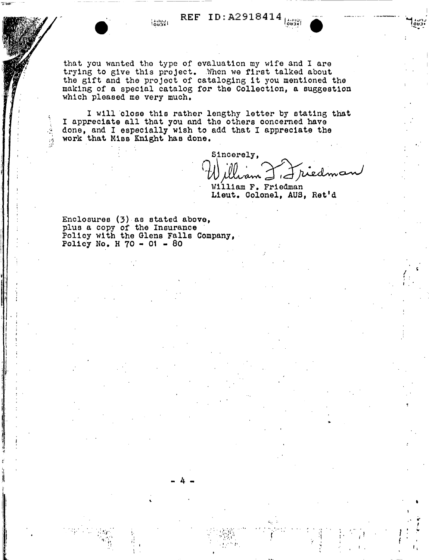REF ID: A2918414 ו גרויס<br>ו אבעס ו

that you wanted the type of evaluation my wife and I are trying to give this project. When we first talked about the gift and the project of cataloging it you mentioned the making of a special catalog for the Collection, a suggestion which pleased me very much.

I will close this rather lengthy letter by stating that I appreciate all that you and the others concerned have done, and I especially wish to add that I appreciate the work that Miss Knight has done.

Sincerely, I I ried

William F. Friedman Lieut. Colonel, AUS, Ret'd

Enclosures (3) as stated above, plus a copy of the Insurance<br>Policy with the Glens Falls Company, Policy No. H  $70 - 01 - 80$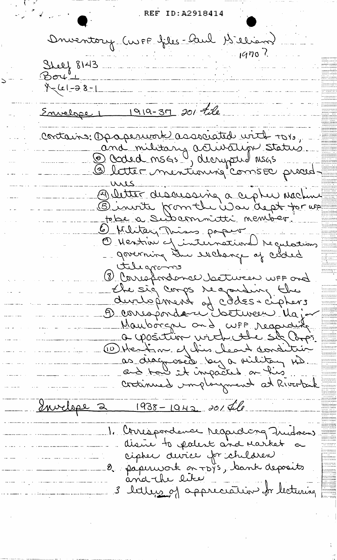REF ID: A2918414 Onventory CUPF files-Aul 1s élisat  $1970$ Shelf 8143 \_\_\_\_\_\_\_\_\_\_\_\_\_\_\_\_\_\_\_\_\_  $Bov$  $x-(c1-38-1)$ المستشفر والتفقير والرازير وسر a<br>Tang<del>an kalendar dan bahasa da</del> Envelope 1 1919-37 201 tile Contains: Opaperwork associated with TO10, and military activation status Décred mons ", derypted mons O letter mentionniq" conste proced. ures Detter discussive à cipter machine tebe a subconnitté nember. 6) Military Thises paper -O Mention of international requestions - governing the exchange of coded tilegrams 18 Correspondance between uFF ond - the sig corps regarding the durlepment of côdes-cipturs<br>Dévriepment détureur Major Mauborgne and, cute respectifi a position virtude six Corps. 10 Heat no el his leart condition as diagnosed by a vilitary MD critimed unplorgment at Riverbuik Envelope 2  $1938 - 1942 20146$ 1. Correspondence respecting Frudnan distre to polest and rarket cipter avice for children<br>- 8. paperwork on TDYS, bank deposits and the like 3 letters of appreciation for lecturing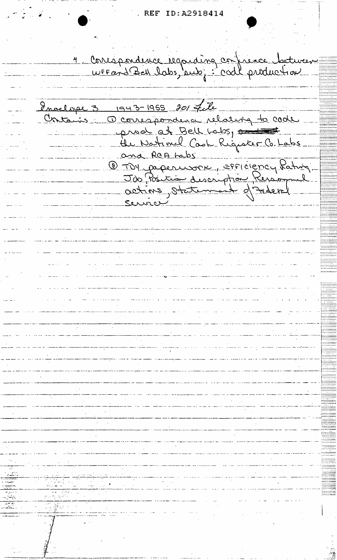ID:A2918414 **REF** 

4 Correspondence regarding confrence doctures Invelope 3 1943-1955 201 file Contains a correspondence relating to code and at Bell Labs, and Concernant Comment  $\_$ Ser والمستنقص والمستحصر والمتناوب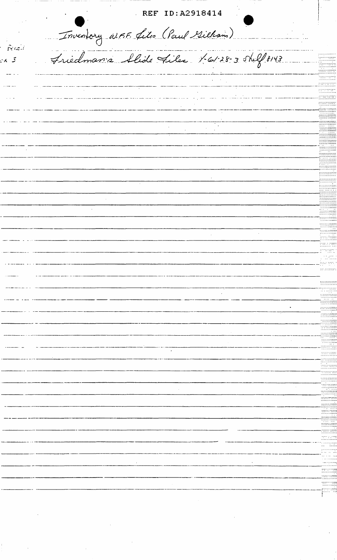REF ID: A2918414 Inventory WEE files (Paul Villam) . .. . . . . . . . . . . . . .  $F$ enc $H$ Friedmanis Alide Files 1-61-28-3 shelf 8143 ىي - $-5$ 198919999  $\frac{1}{2}$ -- - -- -- -<del>--</del>--- $\frac{1}{2}$ -immun  $\ddot{\phantom{0}}$  $\hat{\mathcal{L}}$  $\hat{\mathcal{A}}$  $\bar{z}$  $\overline{\phantom{a}}$ fill<br>Sunning **Experience**  $\frac{1}{2}$  $\frac{1}{2}$ 700000000  $\ddot{\phantom{0}}$  $\overline{\phantom{a}}$ hundiin innaann amaranti Jean virt mannos  $\frac{1}{1}$  $\bar{z}$ tallilain  $\ddot{\phantom{a}}$  $\frac{1}{2}$ **Committe** ---------------<br>---------------- $\ddot{\phantom{a}}$  $\frac{1}{2}$ terencen  $\ldots$ ------------- $\begin{minipage}{0.5\textwidth} \begin{tabular}{|c|c|c|} \hline & \multicolumn{1}{|c|}{\textbf{0.5}\textwidth} \end{tabular} \end{minipage} \begin{minipage}{0.5\textwidth} \begin{tabular}{|c|c|c|} \hline \multicolumn{1}{|c|}{\textbf{0.5}\textwidth} \end{tabular} \end{minipage} \begin{minipage}{0.5\textwidth} \begin{tabular}{|c|c|c|} \hline \multicolumn{1}{|c|}{\textbf{0.5}\textwidth} \end{tabular} \end{minipage} \begin{minipage}{0.5\textwidth} \begin{tabular}{|$  $\frac{1}{2}$  $\begin{array}{c}\n\cdots \\
\cdots\n\end{array}$  $\begin{minipage}{.4\linewidth} \begin{tabular}{l} \hline \multicolumn{3}{c}{\textbf{min}} \end{tabular} \end{minipage}$  $\begin{array}{c}\n\overline{\phantom{0}} \\
\overline{\phantom{0}} \\
\overline{\phantom{0}} \\
\overline{\phantom{0}} \\
\overline{\phantom{0}} \\
\overline{\phantom{0}} \\
\overline{\phantom{0}} \\
\overline{\phantom{0}} \\
\overline{\phantom{0}} \\
\overline{\phantom{0}} \\
\overline{\phantom{0}} \\
\overline{\phantom{0}} \\
\overline{\phantom{0}} \\
\overline{\phantom{0}} \\
\overline{\phantom{0}} \\
\overline{\phantom{0}} \\
\overline{\phantom{0}} \\
\overline{\phantom{0}} \\
\overline{\phantom{0}} \\
\overline{\phantom{0}} \\
\overline{\phantom{0}} \\
\over$ F  $\cdot$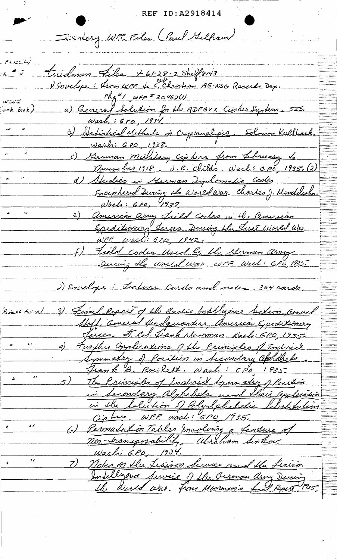REF ID: A2918414

Inventory WFF Felex (Paul Gelliam)

 $F \in \mathcal{N}$   $\subset \mathcal{L}$ Fridman Files X61-28-2 Shelf8143  $A \stackrel{\star}{=} S$ Venuelope: from were to christian AG-NSG Records Dep.  $\frac{e^{4}}{2}$  wer = 30462(1) سياسة تعاد a) General Solution for the ADFEVX Cipher System. 525. لت*أثر ق*ونيد). Wash,: 610, 1934 (2) Statiskial Methods in Cryptanalysis. Solomon Kullback. Wash: 6 po, 1938. c) German military cipture from Libreary Le d) Studies in German Ziplomatic Codes <u>Enciphered During the World War. Charles, Mendelschn.</u> Wash: 600, 1937 2) American army Lield Codes in the american Epeditionary Joses During the Just World also WFF Washi 620, 1942. f) Field codes Used by the German army During de World War. WFF. West: 6P0, 1835. 2) Envelope: Lecture Courts and neter 364 cards. 3) Final Report of the Radio boubblique Section Connel Breck Soul Abell, General Headquarters, American Expeditionery Juices. It Cil Frank Moorman. Wash: 6P0, 1935. a) Further Opplications of the Principles of Indicate Lymmetry of Position in Secondary aparthelo Frank B. Rowlett. Wash: 600, 1935.  $\mathbf{z}$ 5) The Principles of Individ Lynmerry of Portion in Secondary alghabets and their application in the Lolution of Polyalphabetic Libertidation (c) Permulation Tables Involving a feature of non-transposability, Abraham Sinkar Washi 6P0, 1934.  $\cdot$ 7) Notes on the Leaison Service and the Leaison Intelligence Service of the German army Durin the World was from Moorman's final Report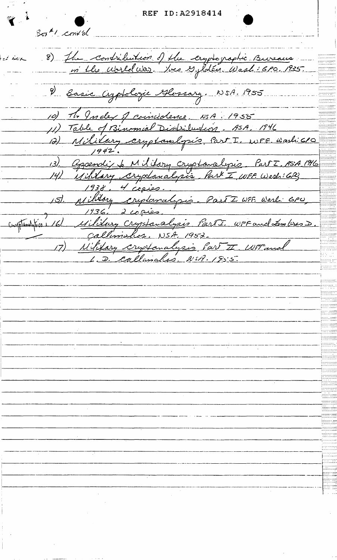REF ID: A2918414

 $3\sigma$ <sup> $\pm$ </sup>1 cont of 8) The contribution of the cryptographic Bureaus. 2 Easie Cyptologie Glossary, NSA. 1955 10) A Index of coincidence. NSA. 1955 12) Mililary cryptamilysis Part I. WFF. Washi610 13). Oppendix & Military cryptomalysis. Part I. ASA 1916 14) Military cryplanalysis Park I WFF. Wesh: 6PG  $4$  copie  $1938.$ 15). Military crytanalysis. Part I. WFF. Warl: 6PU comptantifica 16) Military Cryptanalysis PartI. WFF and Lambres D. Callimahos, NSA, 1952. Nilitary cryotanalysis Part I Witnes D. Callimalus. NSA. 1955.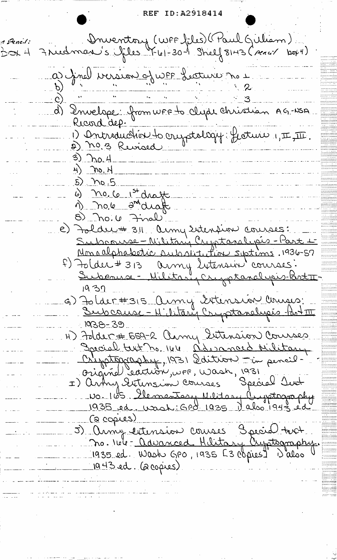REF ID:A2918414

Druentory (WFF files) (Paul Guliam)<br>7 ruent 100 1 - 1-30 - 1 Shelf 8143 (sencir 10044) 1 Pencil: アーイ a) final version of were facture no 1 d) Envelope: from WFF to clyde Christian AG-NSA Ricord dep. 1) Antroduction to cryptology: Geoture 1, II, III.  $3)$  no.4  $H$  mo.  $H$  $5.70.5$ 6) no. 6 1st draft 1) no.6 and draft  $8)$  no.  $4$  Final e) Folder# 311 Army Extension courses: Subcause - Nilitary Cryptonalipis - Part Monoalphabetic subsistation septims. 1936-57 F) Folder # 313 avril 24 tension courses:<br>Subcause - Military Cryptonelysis-Parti  $1937$ G) Tolder#315 Aumy Istension Courses:  $1038 - 39$ H) Folder # 559-2 Cemy Sutension Courses Sacial text no. 144 D'avanced Military Comptoppaphy, 1931 Sdition -in pencil. Original Cartion, vos, vasi Hold protograph wastility watrems les 1 ... 04. (a copies) 5) Anny entension courses 3 sécret text no. 166 - avanced Hilitary Crystography. 1935 ed. Wash GPO, 1935 [3 copies] 1 also  $1943$  ed. (2000)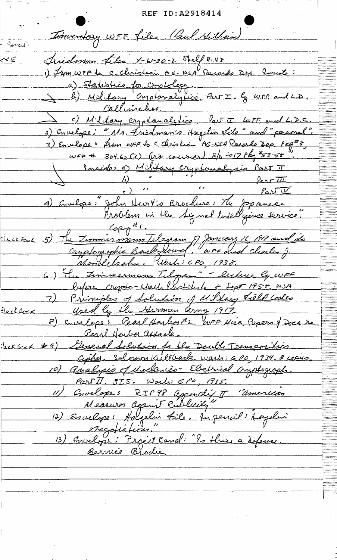REF ID: A2918414 Tomentary WEF files (Paul Millian) د انج<u>نبه برت</u>ق آ Triedman Liles X-61-30-2 Shelf 81.43 <u>করে</u><br>...... 1) from WFF to C- Christeai AG-NSA Records Dep. Inside: a) Statistics for criptology. (b) Military Captanalytics, Part I by WFF, and LD. Callinales. c) Military cryptomalytics Part J. WFF and L.D.C. 3) Envelope: "Ns. Friedman's Hagelin Lile" and "personal". 3) Envelope: Prom WFF to c Christian AG-NSA Receits Dep. PKg<sup>2</sup>3  $w_{F}e$  + 3ot 62 (3) ( $w_{W}$  courses)  $R_{\rho}$  -017  $P_{H_{\rho}}$ <sup>7</sup>53-50 Inside: a) Military cryptomalysis Part T  $\frac{b}{a}$  of  $\frac{1}{a}$  ferritting  $\begin{array}{c|c} \hline \begin{array}{c} \hline \end{array} & \hline \end{array}$ 1) Envelope: John Hurt's Brochure: The Japanese Problem in the Signal Intelligence Service. Copig<sup>#1</sup>.<br>5) The Zummismann Telegram of January 16, 1917 and de <u>: Jeck Powk</u> Cryptographic Back round. "wre and clearles J. Mondelsohn Wash: CPO, 1938. 6) la Zimmermann Telgram" - lecture ly wFF lufore crypto-Mash Institute & Sept 1958. NJA 7) Principles of Solution of Military Lielp Cooles Electher Used by the German Cerny 1917 8) cruelope: Pearl Harbor #2 mFF Mise, Papers & Docs re <u>Pearl Harber assaule.</u> Sackbook 19 (Jeneral Solution for the Double Transposition Cipbez, Solomon Kullback. Warh: 6 PD, 1934. 2 copies 10) Analipis of Meclaniès-Electrical Oryphograph Part II, SIS. Wash: 6Po, 1935. 11) Gruelopes RIP98 appendit II "american Measures against Publicity" 12) Envelope: Holselin file, Inperiel: Magelin 13) Envelope: Project Rand: "Is there a defense. Bernice Brodie.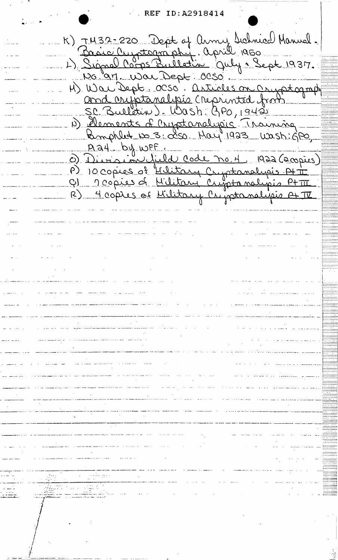REF ID: A2918414

K) TH32-220 Dept of Army Sichnical Manual.<br>Basic Cuptography. april 1950<br>L) Signal Corps Bulletin Quly + Sept 1937. No 97. War Dept: 0050. No. 97. War Dept. 0050. and cryptanalipés créprinted from SC Bulletin) - Wash: GPO, 1942 1 Mements d'Ouptanelysis Training <u>Aay by wFF.</u> 0) Division field Code no. 4. 1922 (200 pies) P) 10 copies of <u>Hilitary</u> Cryptanelyeis A+ T<br>Q) 10 copies of <u>Hilitary Cryptanelyeis P+ TI</u><br>R) 4 copies of Military Cryptanelyeis A+ TI  $\mathcal{L}(\mathcal{L}(\mathcal{L}))$  and  $\mathcal{L}(\mathcal{L}(\mathcal{L}))$  and  $\mathcal{L}(\mathcal{L}(\mathcal{L}))$  and  $\mathcal{L}(\mathcal{L}(\mathcal{L}))$ )<br>participal administration (moment أوالمائية والمسار الممامونة المتملة والمستني متقاومات وعشاي بمتحصات سابات  $\mathbb{R}^2$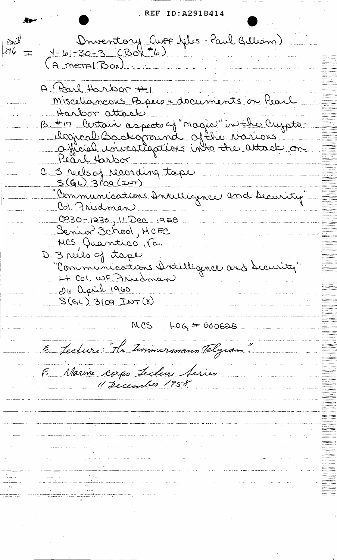REF ID: A2918414

Drventory Cwrp julis - Paul Gilliam)<br>1-61-30-3 (Box #6) Pinil 76: (A metal Box) A Parl Harbor #1 Miscellaneous Papers & documents on Pearl Harbon attack B. #17 Certain aspects of "nagio" in the Crypts. logical Backaraina ofthe varions" Pearl Harbox C. 3 reels of recording tape "Communications Antilligence and Security" Col. Fridman  $0.930 - 1230 - 11200 - 1956$ Senior School, MCEC 11 MCS Quantico, Va. D. 3 reéls of tape. "Communications Intilligence and Security" Lt. Col. WF Friedman 010 april 1960  $S(6L)$  3109 INT (8)  $MCS$   $+064$   $+ 000538$ E Lecture "He Timmermann Telegram F. Marine corps Lecler Series 11 December 1958